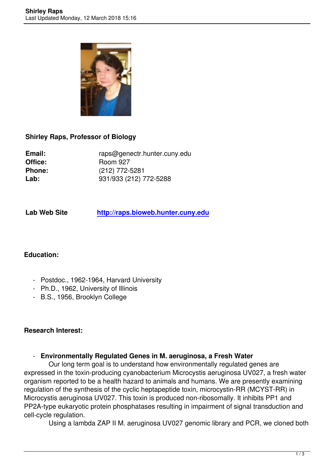

# **Shirley Raps, Professor of Biology**

Email: raps@genectr.hunter.cuny.edu<br>Office: Room 927 **Office:** Room 927 **Phone:** (212) 772-5281 **Lab:** 931/933 (212) 772-5288

**Lab Web Site http://raps.bioweb.hunter.cuny.edu**

# **Education:**

- Postdoc., 1962-1964, Harvard University
- Ph.D., 1962, University of Illinois
- B.S., 1956, Brooklyn College

## **Research Interest:**

## - **Environmentally Regulated Genes in M. aeruginosa, a Fresh Water**

 Our long term goal is to understand how environmentally regulated genes are expressed in the toxin-producing cyanobacterium Microcystis aeruginosa UV027, a fresh water organism reported to be a health hazard to animals and humans. We are presently examining regulation of the synthesis of the cyclic heptapeptide toxin, microcystin-RR (MCYST-RR) in Microcystis aeruginosa UV027. This toxin is produced non-ribosomally. It inhibits PP1 and PP2A-type eukaryotic protein phosphatases resulting in impairment of signal transduction and cell-cycle regulation.

Using a lambda ZAP II M. aeruginosa UV027 genomic library and PCR, we cloned both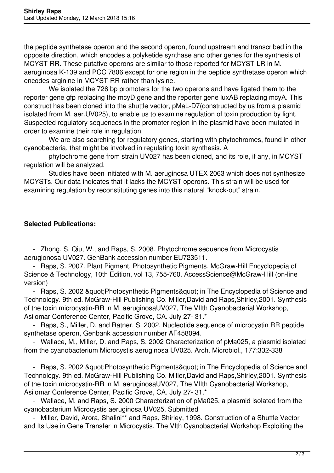the peptide synthetase operon and the second operon, found upstream and transcribed in the opposite direction, which encodes a polyketide synthase and other genes for the synthesis of MCYST-RR. These putative operons are similar to those reported for MCYST-LR in M. aeruginosa K-139 and PCC 7806 except for one region in the peptide synthetase operon which encodes arginine in MCYST-RR rather than lysine.

 We isolated the 726 bp promoters for the two operons and have ligated them to the reporter gene gfp replacing the mcyD gene and the reporter gene luxAB replacing mcyA. This construct has been cloned into the shuttle vector, pMaL-D7(constructed by us from a plasmid isolated from M. aer.UV025), to enable us to examine regulation of toxin production by light. Suspected regulatory sequences in the promoter region in the plasmid have been mutated in order to examine their role in regulation.

We are also searching for regulatory genes, starting with phytochromes, found in other cyanobacteria, that might be involved in regulating toxin synthesis. A

 phytochrome gene from strain UV027 has been cloned, and its role, if any, in MCYST regulation will be analyzed.

 Studies have been initiated with M. aeruginosa UTEX 2063 which does not synthesize MCYSTs. Our data indicates that it lacks the MCYST operons. This strain will be used for examining regulation by reconstituting genes into this natural "knock-out" strain.

# **Selected Publications:**

 - Zhong, S, Qiu, W., and Raps, S, 2008. Phytochrome sequence from Microcystis aerugionosa UV027. GenBank accession number EU723511.

 - Raps, S. 2007. Plant Pigment, Photosynthetic Pigments. McGraw-Hill Encyclopedia of Science & Technology, 10th Edition, vol 13, 755-760. AccessScience@McGraw-Hill (on-line version)

- Raps, S. 2002 & guot; Photosynthetic Pigments & guot; in The Encyclopedia of Science and Technology. 9th ed. McGraw-Hill Publishing Co. Miller,David and Raps,Shirley,2001. Synthesis of the toxin microcystin-RR in M. aeruginosaUV027, The VIIth Cyanobacterial Workshop, Asilomar Conference Center, Pacific Grove, CA. July 27- 31.\*

 - Raps, S., Miller, D. and Ratner, S. 2002. Nucleotide sequence of microcystin RR peptide synthetase operon, Genbank accession number AF458094.

 - Wallace, M., Miller, D. and Raps, S. 2002 Characterization of pMa025, a plasmid isolated from the cyanobacterium Microcystis aeruginosa UV025. Arch. Microbiol., 177:332-338

- Raps, S. 2002 & guot: Photosynthetic Pigments & guot; in The Encyclopedia of Science and Technology. 9th ed. McGraw-Hill Publishing Co. Miller,David and Raps,Shirley,2001. Synthesis of the toxin microcystin-RR in M. aeruginosaUV027, The VIIth Cyanobacterial Workshop, Asilomar Conference Center, Pacific Grove, CA. July 27- 31.\*

 - Wallace, M. and Raps, S. 2000 Characterization of pMa025, a plasmid isolated from the cyanobacterium Microcystis aeruginosa UV025. Submitted

 - Miller, David, Arora, Shalini\*\* and Raps, Shirley, 1998. Construction of a Shuttle Vector and Its Use in Gene Transfer in Microcystis. The VIth Cyanobacterial Workshop Exploiting the